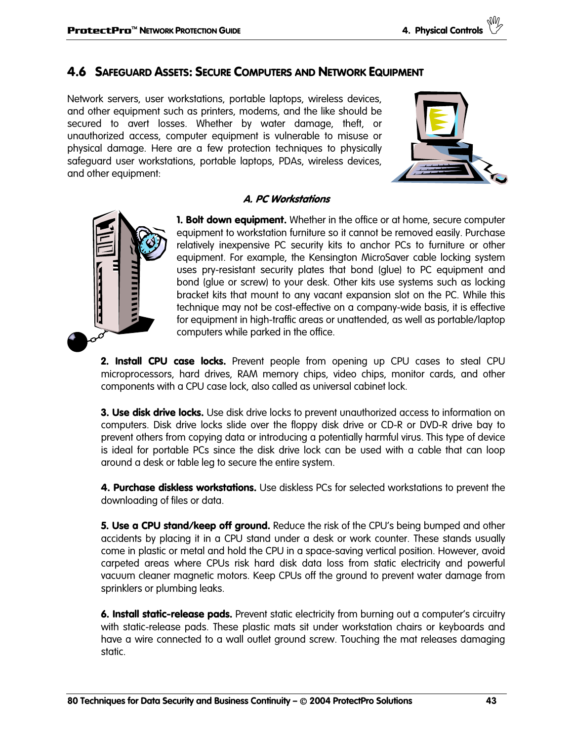## **4.6 SAFEGUARD ASSETS: SECURE COMPUTERS AND NETWORK EQUIPMENT**

Network servers, user workstations, portable laptops, wireless devices, and other equipment such as printers, modems, and the like should be secured to avert losses. Whether by water damage, theft, or unauthorized access, computer equipment is vulnerable to misuse or physical damage. Here are a few protection techniques to physically safeguard user workstations, portable laptops, PDAs, wireless devices, and other equipment:



#### **A. PC Workstations**



**1. Bolt down equipment.** Whether in the office or at home, secure computer equipment to workstation furniture so it cannot be removed easily. Purchase relatively inexpensive PC security kits to anchor PCs to furniture or other equipment. For example, the Kensington MicroSaver cable locking system uses pry-resistant security plates that bond (glue) to PC equipment and bond (glue or screw) to your desk. Other kits use systems such as locking bracket kits that mount to any vacant expansion slot on the PC. While this technique may not be cost-effective on a company-wide basis, it is effective for equipment in high-traffic areas or unattended, as well as portable/laptop computers while parked in the office.

 **2. Install CPU case locks.** Prevent people from opening up CPU cases to steal CPU microprocessors, hard drives, RAM memory chips, video chips, monitor cards, and other components with a CPU case lock, also called as universal cabinet lock.

 **3. Use disk drive locks.** Use disk drive locks to prevent unauthorized access to information on computers. Disk drive locks slide over the floppy disk drive or CD-R or DVD-R drive bay to prevent others from copying data or introducing a potentially harmful virus. This type of device is ideal for portable PCs since the disk drive lock can be used with a cable that can loop around a desk or table leg to secure the entire system.

 **4. Purchase diskless workstations.** Use diskless PCs for selected workstations to prevent the downloading of files or data.

 **5. Use a CPU stand/keep off ground.** Reduce the risk of the CPU's being bumped and other accidents by placing it in a CPU stand under a desk or work counter. These stands usually come in plastic or metal and hold the CPU in a space-saving vertical position. However, avoid carpeted areas where CPUs risk hard disk data loss from static electricity and powerful vacuum cleaner magnetic motors. Keep CPUs off the ground to prevent water damage from sprinklers or plumbing leaks.

 **6. Install static-release pads.** Prevent static electricity from burning out a computer's circuitry with static-release pads. These plastic mats sit under workstation chairs or keyboards and have a wire connected to a wall outlet ground screw. Touching the mat releases damaging static.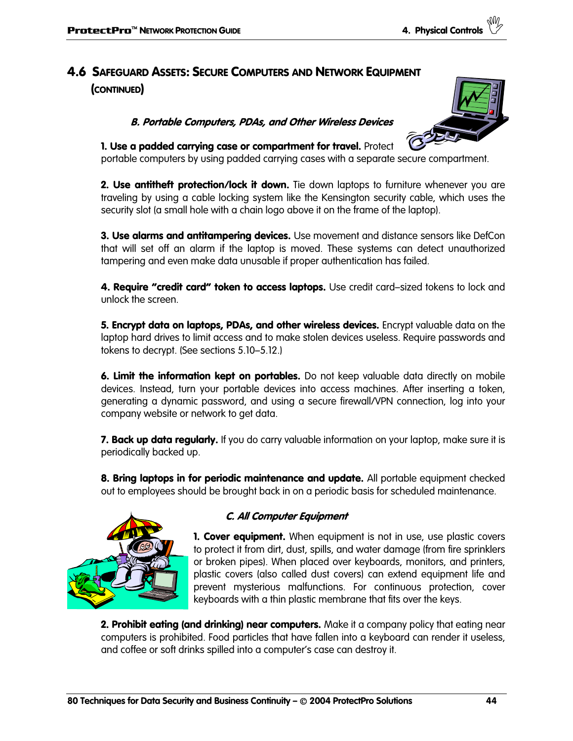# **4.6 SAFEGUARD ASSETS: SECURE COMPUTERS AND NETWORK EQUIPMENT**

## **(CONTINUED)**

## **B. Portable Computers, PDAs, and Other Wireless Devices**



### **1. Use a padded carrying case or compartment for travel.** Protect

portable computers by using padded carrying cases with a separate secure compartment.

**2. Use antitheft protection/lock it down.** Tie down laptops to furniture whenever you are traveling by using a cable locking system like the Kensington security cable, which uses the security slot (a small hole with a chain logo above it on the frame of the laptop).

 **3. Use alarms and antitampering devices.** Use movement and distance sensors like DefCon that will set off an alarm if the laptop is moved. These systems can detect unauthorized tampering and even make data unusable if proper authentication has failed.

**4. Require "credit card" token to access laptops.** Use credit card–sized tokens to lock and unlock the screen.

 **5. Encrypt data on laptops, PDAs, and other wireless devices.** Encrypt valuable data on the laptop hard drives to limit access and to make stolen devices useless. Require passwords and tokens to decrypt. (See sections 5.10–5.12.)

 **6. Limit the information kept on portables.** Do not keep valuable data directly on mobile devices. Instead, turn your portable devices into access machines. After inserting a token, generating a dynamic password, and using a secure firewall/VPN connection, log into your company website or network to get data.

 **7. Back up data regularly.** If you do carry valuable information on your laptop, make sure it is periodically backed up.

 **8. Bring laptops in for periodic maintenance and update.** All portable equipment checked out to employees should be brought back in on a periodic basis for scheduled maintenance.



## **C. All Computer Equipment**

**1. Cover equipment.** When equipment is not in use, use plastic covers to protect it from dirt, dust, spills, and water damage (from fire sprinklers or broken pipes). When placed over keyboards, monitors, and printers, plastic covers (also called dust covers) can extend equipment life and prevent mysterious malfunctions. For continuous protection, cover keyboards with a thin plastic membrane that fits over the keys.

**2. Prohibit eating (and drinking) near computers.** Make it a company policy that eating near computers is prohibited. Food particles that have fallen into a keyboard can render it useless, and coffee or soft drinks spilled into a computer's case can destroy it.